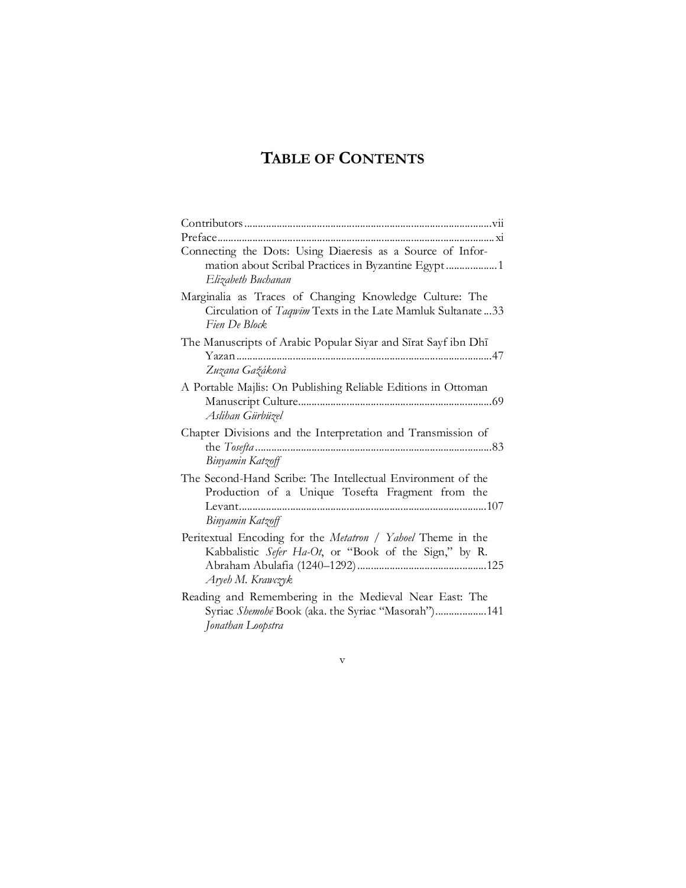# **TABLE OF CONTENTS**

| Connecting the Dots: Using Diaeresis as a Source of Infor-<br>mation about Scribal Practices in Byzantine Egypt  1<br>Elizabeth Buchanan  |
|-------------------------------------------------------------------------------------------------------------------------------------------|
| Marginalia as Traces of Changing Knowledge Culture: The<br>Circulation of Taqwim Texts in the Late Mamluk Sultanate33<br>Fien De Block    |
| The Manuscripts of Arabic Popular Siyar and Sirat Sayf ibn Dhi<br>Yazan<br>Zuzana Gažákovà                                                |
| A Portable Majlis: On Publishing Reliable Editions in Ottoman<br>Aslihan Gürbüzel                                                         |
| Chapter Divisions and the Interpretation and Transmission of<br>Binyamin Katzoff                                                          |
| The Second-Hand Scribe: The Intellectual Environment of the<br>Production of a Unique Tosefta Fragment from the<br>Binyamin Katzoff       |
| Peritextual Encoding for the Metatron / Yahoel Theme in the<br>Kabbalistic Sefer Ha-Ot, or "Book of the Sign," by R.<br>Aryeh M. Krawczyk |
| Reading and Remembering in the Medieval Near East: The<br>Syriac Shemohē Book (aka. the Syriac "Masorah")141<br>Jonathan Loopstra         |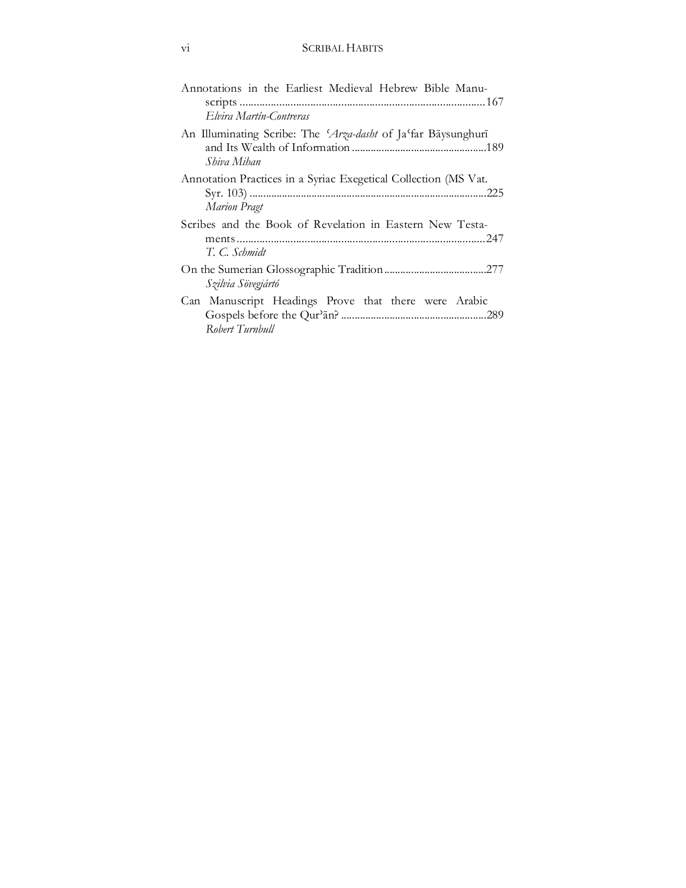| Annotations in the Earliest Medieval Hebrew Bible Manu-                                |
|----------------------------------------------------------------------------------------|
| Elvira Martín-Contreras                                                                |
| An Illuminating Scribe: The 'Arza-dasht of Ja'far Bāysunghurī<br>Shiva Mihan           |
| Annotation Practices in a Syriac Exegetical Collection (MS Vat.<br><b>Marion Pragt</b> |
| Scribes and the Book of Revelation in Eastern New Testa-<br>T. C. Schmidt              |
| Szilvia Sövegjártó                                                                     |
| Can Manuscript Headings Prove that there were Arabic<br>Robert Turnbull                |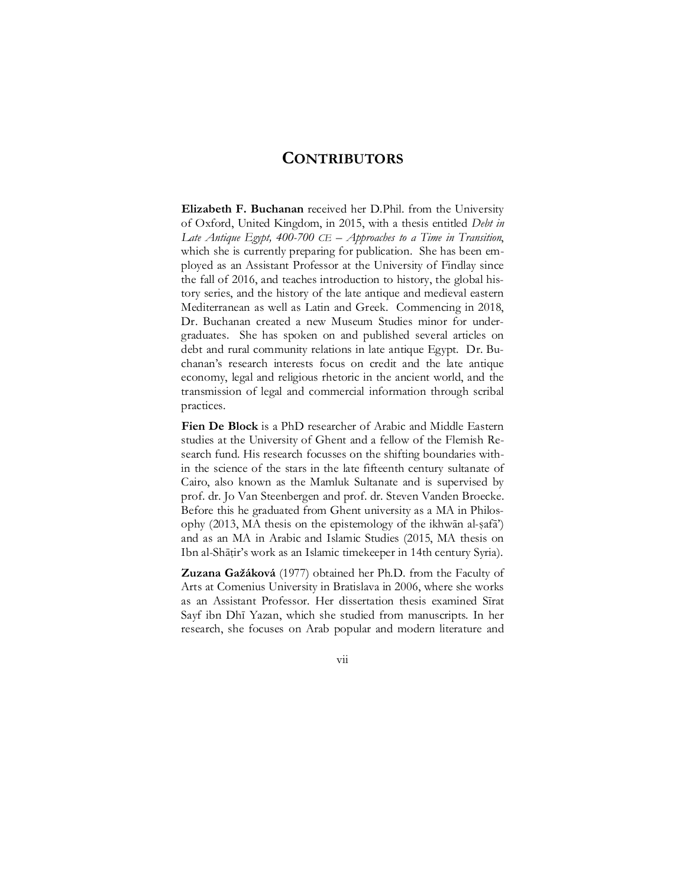### **CONTRIBUTORS**

**Elizabeth F. Buchanan** received her D.Phil. from the University of Oxford, United Kingdom, in 2015, with a thesis entitled *Debt in Late Antique Egypt, 400-700 CE – Approaches to a Time in Transition*, which she is currently preparing for publication. She has been employed as an Assistant Professor at the University of Findlay since the fall of 2016, and teaches introduction to history, the global history series, and the history of the late antique and medieval eastern Mediterranean as well as Latin and Greek. Commencing in 2018, Dr. Buchanan created a new Museum Studies minor for undergraduates. She has spoken on and published several articles on debt and rural community relations in late antique Egypt. Dr. Buchanan's research interests focus on credit and the late antique economy, legal and religious rhetoric in the ancient world, and the transmission of legal and commercial information through scribal practices.

**Fien De Block** is a PhD researcher of Arabic and Middle Eastern studies at the University of Ghent and a fellow of the Flemish Research fund. His research focusses on the shifting boundaries within the science of the stars in the late fifteenth century sultanate of Cairo, also known as the Mamluk Sultanate and is supervised by prof. dr. Jo Van Steenbergen and prof. dr. Steven Vanden Broecke. Before this he graduated from Ghent university as a MA in Philosophy (2013, MA thesis on the epistemology of the ikhwān al-ṣafā') and as an MA in Arabic and Islamic Studies (2015, MA thesis on Ibn al-Shāṭir's work as an Islamic timekeeper in 14th century Syria).

**Zuzana Gažáková** (1977) obtained her Ph.D. from the Faculty of Arts at Comenius University in Bratislava in 2006, where she works as an Assistant Professor. Her dissertation thesis examined Sīrat Sayf ibn Dhī Yazan, which she studied from manuscripts. In her research, she focuses on Arab popular and modern literature and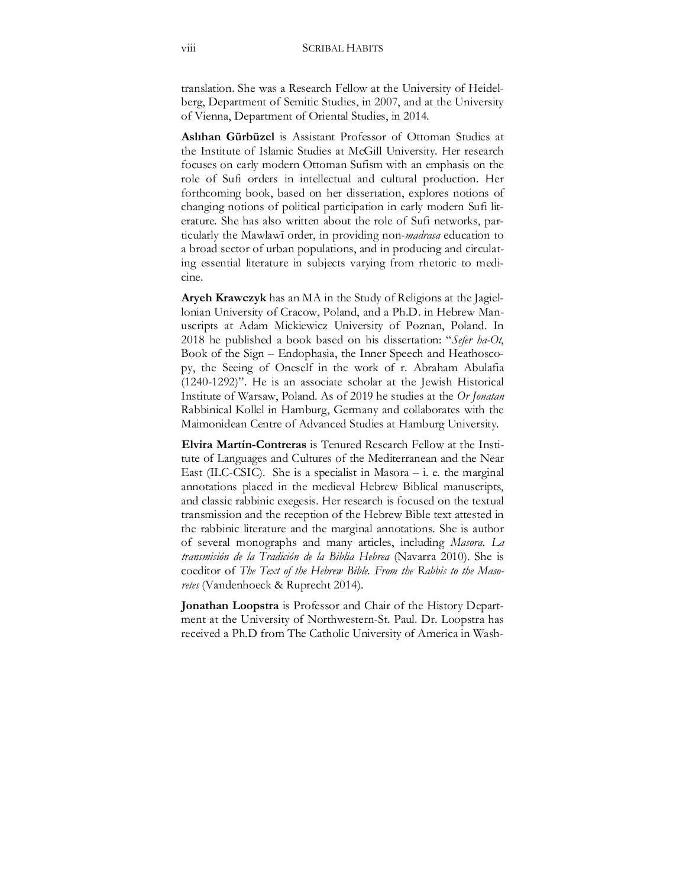translation. She was a Research Fellow at the University of Heidelberg, Department of Semitic Studies, in 2007, and at the University of Vienna, Department of Oriental Studies, in 2014.

**Aslıhan Gürbüzel** is Assistant Professor of Ottoman Studies at the Institute of Islamic Studies at McGill University. Her research focuses on early modern Ottoman Sufism with an emphasis on the role of Sufi orders in intellectual and cultural production. Her forthcoming book, based on her dissertation, explores notions of changing notions of political participation in early modern Sufi literature. She has also written about the role of Sufi networks, particularly the Mawlawī order, in providing non-*madrasa* education to a broad sector of urban populations, and in producing and circulating essential literature in subjects varying from rhetoric to medicine.

**Aryeh Krawczyk** has an MA in the Study of Religions at the Jagiellonian University of Cracow, Poland, and a Ph.D. in Hebrew Manuscripts at Adam Mickiewicz University of Poznan, Poland. In 2018 he published a book based on his dissertation: "*Sefer ha-Ot*, Book of the Sign – Endophasia, the Inner Speech and Heathoscopy, the Seeing of Oneself in the work of r. Abraham Abulafia (1240-1292)". He is an associate scholar at the Jewish Historical Institute of Warsaw, Poland. As of 2019 he studies at the *Or Jonatan* Rabbinical Kollel in Hamburg, Germany and collaborates with the Maimonidean Centre of Advanced Studies at Hamburg University.

**Elvira Martín-Contreras** is Tenured Research Fellow at the Institute of Languages and Cultures of the Mediterranean and the Near East (ILC-CSIC). She is a specialist in Masora  $-$  i. e. the marginal annotations placed in the medieval Hebrew Biblical manuscripts, and classic rabbinic exegesis. Her research is focused on the textual transmission and the reception of the Hebrew Bible text attested in the rabbinic literature and the marginal annotations. She is author of several monographs and many articles, including *Masora. La transmisión de la Tradición de la Biblia Hebrea* (Navarra 2010). She is coeditor of *The Text of the Hebrew Bible. From the Rabbis to the Masoretes* (Vandenhoeck & Ruprecht 2014).

**Jonathan Loopstra** is Professor and Chair of the History Department at the University of Northwestern-St. Paul. Dr. Loopstra has received a Ph.D from The Catholic University of America in Wash-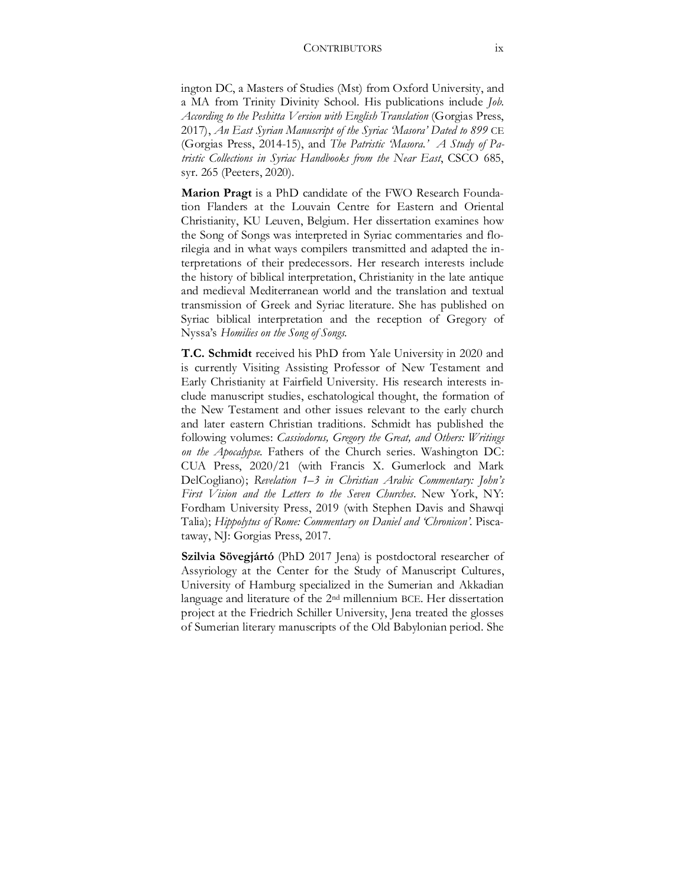#### CONTRIBUTORS ix

ington DC, a Masters of Studies (Mst) from Oxford University, and a MA from Trinity Divinity School. His publications include *Job. According to the Peshitta Version with English Translation* (Gorgias Press, 2017), *An East Syrian Manuscript of the Syriac 'Masora' Dated to 899* CE (Gorgias Press, 2014-15), and *The Patristic 'Masora.' A Study of Patristic Collections in Syriac Handbooks from the Near East*, CSCO 685, syr. 265 (Peeters, 2020).

**Marion Pragt** is a PhD candidate of the FWO Research Foundation Flanders at the Louvain Centre for Eastern and Oriental Christianity, KU Leuven, Belgium. Her dissertation examines how the Song of Songs was interpreted in Syriac commentaries and florilegia and in what ways compilers transmitted and adapted the interpretations of their predecessors. Her research interests include the history of biblical interpretation, Christianity in the late antique and medieval Mediterranean world and the translation and textual transmission of Greek and Syriac literature. She has published on Syriac biblical interpretation and the reception of Gregory of Nyssa's *Homilies on the Song of Songs*.

**T.C. Schmidt** received his PhD from Yale University in 2020 and is currently Visiting Assisting Professor of New Testament and Early Christianity at Fairfield University. His research interests include manuscript studies, eschatological thought, the formation of the New Testament and other issues relevant to the early church and later eastern Christian traditions. Schmidt has published the following volumes: *Cassiodorus, Gregory the Great, and Others: Writings on the Apocalypse*. Fathers of the Church series. Washington DC: CUA Press, 2020/21 (with Francis X. Gumerlock and Mark DelCogliano); *Revelation 1–3 in Christian Arabic Commentary: John's First Vision and the Letters to the Seven Churches*. New York, NY: Fordham University Press, 2019 (with Stephen Davis and Shawqi Talia); *Hippolytus of Rome: Commentary on Daniel and 'Chronicon'.* Piscataway, NJ: Gorgias Press, 2017.

**Szilvia Sövegjártó** (PhD 2017 Jena) is postdoctoral researcher of Assyriology at the Center for the Study of Manuscript Cultures, University of Hamburg specialized in the Sumerian and Akkadian language and literature of the 2nd millennium BCE. Her dissertation project at the Friedrich Schiller University, Jena treated the glosses of Sumerian literary manuscripts of the Old Babylonian period. She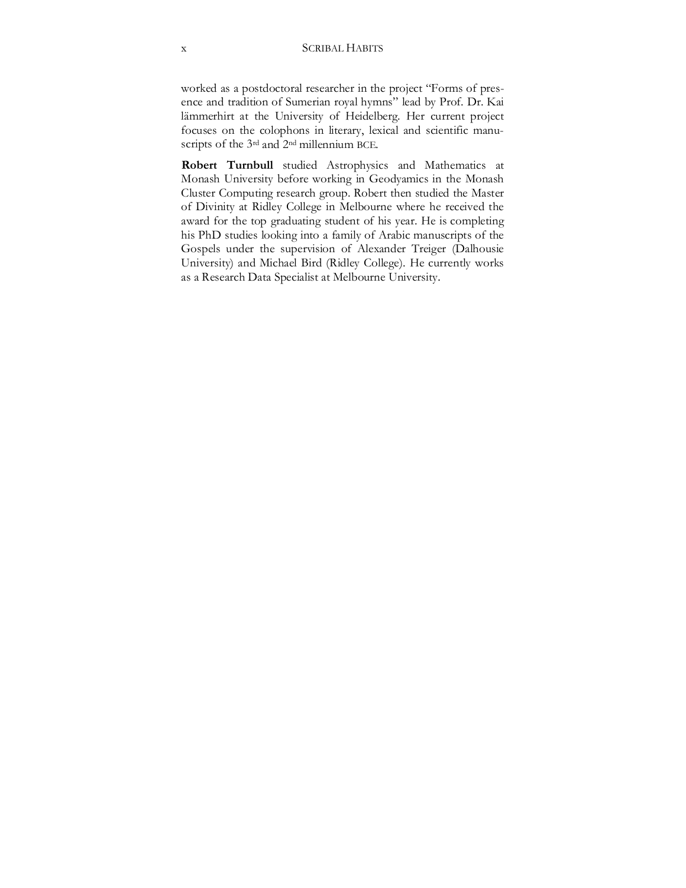worked as a postdoctoral researcher in the project "Forms of presence and tradition of Sumerian royal hymns" lead by Prof. Dr. Kai lämmerhirt at the University of Heidelberg. Her current project focuses on the colophons in literary, lexical and scientific manuscripts of the 3<sup>rd</sup> and 2<sup>nd</sup> millennium BCE.

**Robert Turnbull** studied Astrophysics and Mathematics at Monash University before working in Geodyamics in the Monash Cluster Computing research group. Robert then studied the Master of Divinity at Ridley College in Melbourne where he received the award for the top graduating student of his year. He is completing his PhD studies looking into a family of Arabic manuscripts of the Gospels under the supervision of Alexander Treiger (Dalhousie University) and Michael Bird (Ridley College). He currently works as a Research Data Specialist at Melbourne University.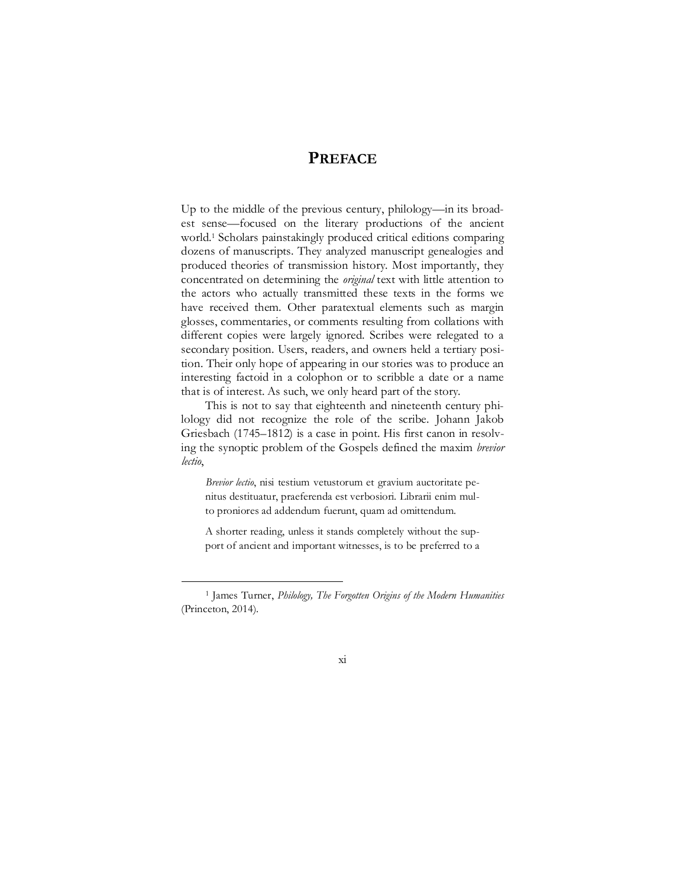## **PREFACE**

Up to the middle of the previous century, philology—in its broadest sense—focused on the literary productions of the ancient world.1 Scholars painstakingly produced critical editions comparing dozens of manuscripts. They analyzed manuscript genealogies and produced theories of transmission history. Most importantly, they concentrated on determining the *original* text with little attention to the actors who actually transmitted these texts in the forms we have received them. Other paratextual elements such as margin glosses, commentaries, or comments resulting from collations with different copies were largely ignored. Scribes were relegated to a secondary position. Users, readers, and owners held a tertiary position. Their only hope of appearing in our stories was to produce an interesting factoid in a colophon or to scribble a date or a name that is of interest. As such, we only heard part of the story.

This is not to say that eighteenth and nineteenth century philology did not recognize the role of the scribe. Johann Jakob Griesbach (1745–1812) is a case in point. His first canon in resolving the synoptic problem of the Gospels defined the maxim *brevior lectio*,

*Brevior lectio*, nisi testium vetustorum et gravium auctoritate penitus destituatur, praeferenda est verbosiori. Librarii enim multo proniores ad addendum fuerunt, quam ad omittendum.

A shorter reading, unless it stands completely without the support of ancient and important witnesses, is to be preferred to a

<sup>1</sup> James Turner, *Philology, The Forgotten Origins of the Modern Humanities* (Princeton, 2014).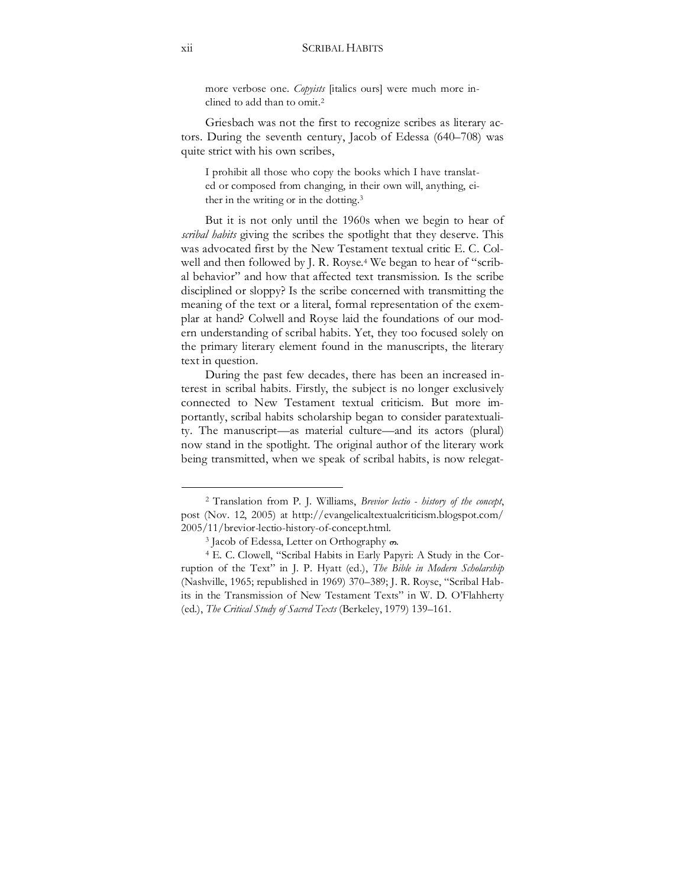more verbose one. *Copyists* [italics ours] were much more inclined to add than to omit.2

Griesbach was not the first to recognize scribes as literary actors. During the seventh century, Jacob of Edessa (640–708) was quite strict with his own scribes,

I prohibit all those who copy the books which I have translated or composed from changing, in their own will, anything, either in the writing or in the dotting.3

But it is not only until the 1960s when we begin to hear of *scribal habits* giving the scribes the spotlight that they deserve. This was advocated first by the New Testament textual critic E. C. Colwell and then followed by J. R. Royse.<sup>4</sup> We began to hear of "scribal behavior" and how that affected text transmission. Is the scribe disciplined or sloppy? Is the scribe concerned with transmitting the meaning of the text or a literal, formal representation of the exemplar at hand? Colwell and Royse laid the foundations of our modern understanding of scribal habits. Yet, they too focused solely on the primary literary element found in the manuscripts, the literary text in question.

During the past few decades, there has been an increased interest in scribal habits. Firstly, the subject is no longer exclusively connected to New Testament textual criticism. But more importantly, scribal habits scholarship began to consider paratextuality. The manuscript—as material culture—and its actors (plural) now stand in the spotlight. The original author of the literary work being transmitted, when we speak of scribal habits, is now relegat-

<sup>2</sup> Translation from P. J. Williams, *Brevior lectio - history of the concept*, post (Nov. 12, 2005) at http://evangelicaltextualcriticism.blogspot.com/ 2005/11/brevior-lectio-history-of-concept.html.

<sup>&</sup>lt;sup>3</sup> Jacob of Edessa, Letter on Orthography  $\infty$ .

<sup>4</sup> E. C. Clowell, "Scribal Habits in Early Papyri: A Study in the Corruption of the Text" in J. P. Hyatt (ed.), *The Bible in Modern Scholarship* (Nashville, 1965; republished in 1969) 370–389; J. R. Royse, "Scribal Habits in the Transmission of New Testament Texts" in W. D. O'Flahherty (ed.), *The Critical Study of Sacred Texts* (Berkeley, 1979) 139–161.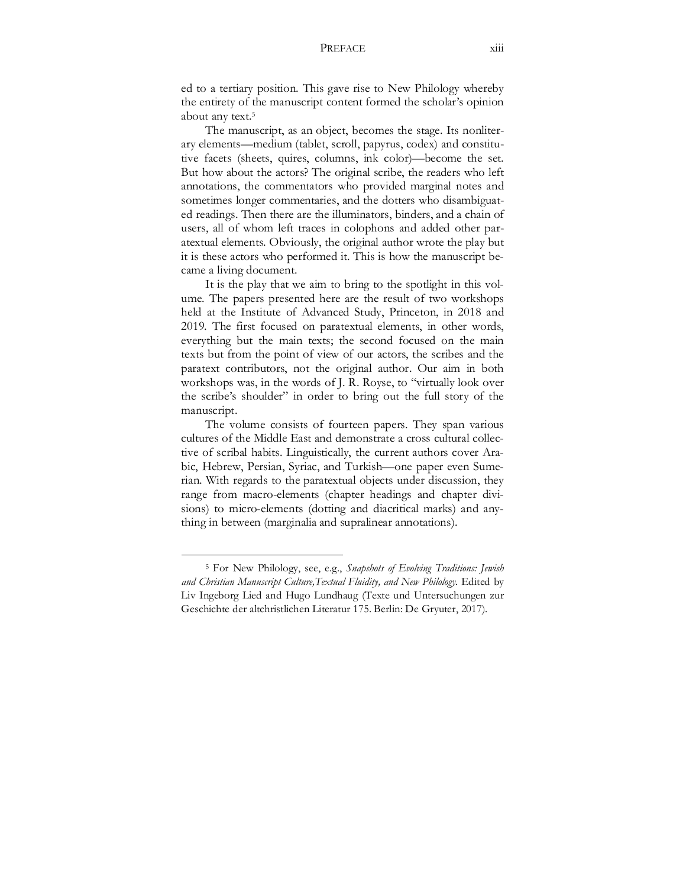#### PREFACE xiii

ed to a tertiary position. This gave rise to New Philology whereby the entirety of the manuscript content formed the scholar's opinion about any text.5

The manuscript, as an object, becomes the stage. Its nonliterary elements—medium (tablet, scroll, papyrus, codex) and constitutive facets (sheets, quires, columns, ink color)—become the set. But how about the actors? The original scribe, the readers who left annotations, the commentators who provided marginal notes and sometimes longer commentaries, and the dotters who disambiguated readings. Then there are the illuminators, binders, and a chain of users, all of whom left traces in colophons and added other paratextual elements. Obviously, the original author wrote the play but it is these actors who performed it. This is how the manuscript became a living document.

It is the play that we aim to bring to the spotlight in this volume. The papers presented here are the result of two workshops held at the Institute of Advanced Study, Princeton, in 2018 and 2019. The first focused on paratextual elements, in other words, everything but the main texts; the second focused on the main texts but from the point of view of our actors, the scribes and the paratext contributors, not the original author. Our aim in both workshops was, in the words of J. R. Royse, to "virtually look over the scribe's shoulder" in order to bring out the full story of the manuscript.

The volume consists of fourteen papers. They span various cultures of the Middle East and demonstrate a cross cultural collective of scribal habits. Linguistically, the current authors cover Arabic, Hebrew, Persian, Syriac, and Turkish—one paper even Sumerian. With regards to the paratextual objects under discussion, they range from macro-elements (chapter headings and chapter divisions) to micro-elements (dotting and diacritical marks) and anything in between (marginalia and supralinear annotations).

<sup>5</sup> For New Philology, see, e.g., *Snapshots of Evolving Traditions: Jewish and Christian Manuscript Culture,Textual Fluidity, and New Philology*. Edited by Liv Ingeborg Lied and Hugo Lundhaug (Texte und Untersuchungen zur Geschichte der altchristlichen Literatur 175. Berlin: De Gryuter, 2017).